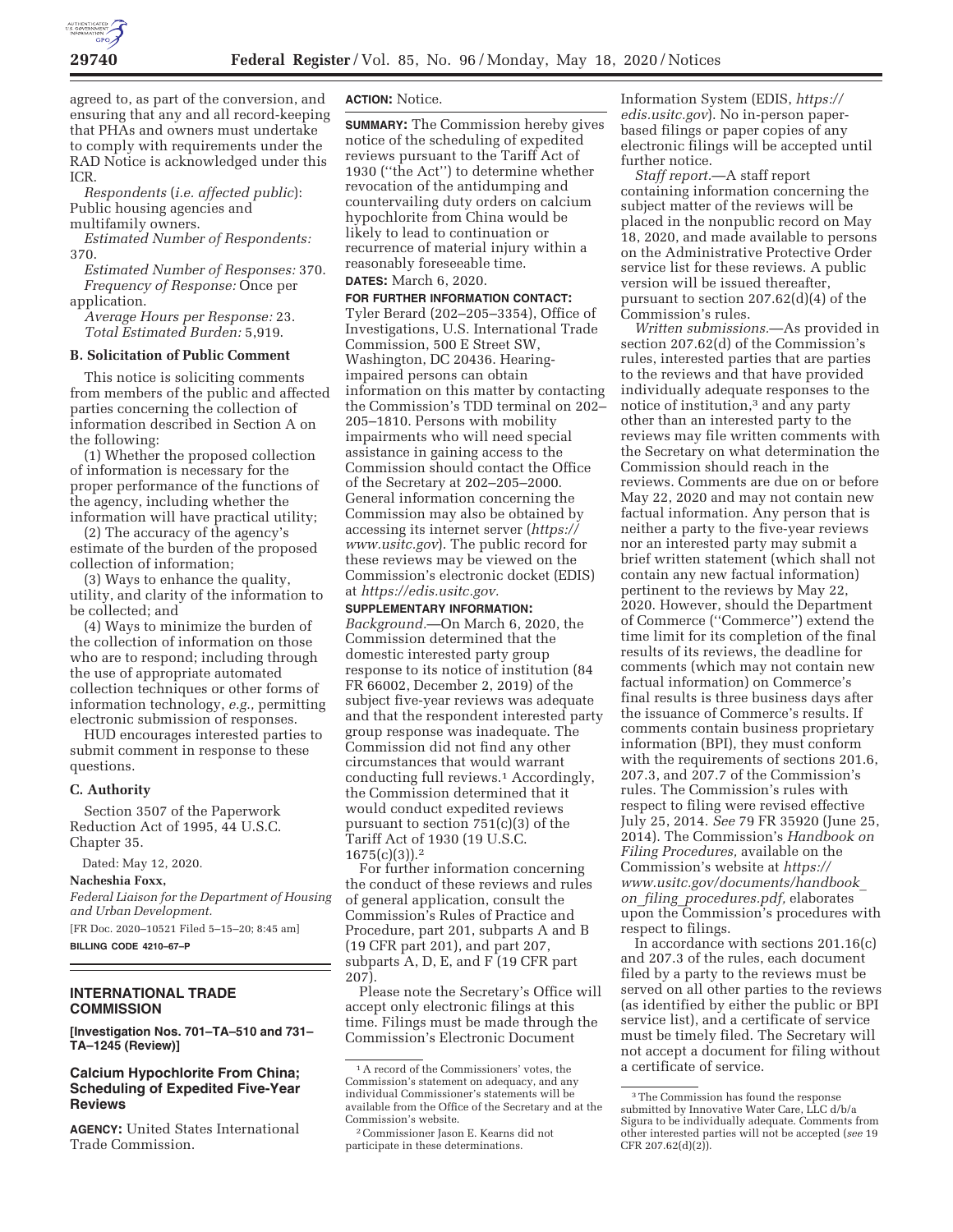

agreed to, as part of the conversion, and ensuring that any and all record-keeping that PHAs and owners must undertake to comply with requirements under the RAD Notice is acknowledged under this ICR.

*Respondents* (*i.e. affected public*): Public housing agencies and multifamily owners.

*Estimated Number of Respondents:*  370.

*Estimated Number of Responses:* 370. *Frequency of Response:* Once per application.

*Average Hours per Response:* 23. *Total Estimated Burden:* 5,919.

#### **B. Solicitation of Public Comment**

This notice is soliciting comments from members of the public and affected parties concerning the collection of information described in Section A on the following:

(1) Whether the proposed collection of information is necessary for the proper performance of the functions of the agency, including whether the information will have practical utility;

(2) The accuracy of the agency's estimate of the burden of the proposed collection of information;

(3) Ways to enhance the quality, utility, and clarity of the information to be collected; and

(4) Ways to minimize the burden of the collection of information on those who are to respond; including through the use of appropriate automated collection techniques or other forms of information technology, *e.g.,* permitting electronic submission of responses.

HUD encourages interested parties to submit comment in response to these questions.

#### **C. Authority**

Section 3507 of the Paperwork Reduction Act of 1995, 44 U.S.C. Chapter 35.

Dated: May 12, 2020.

#### **Nacheshia Foxx,**

*Federal Liaison for the Department of Housing and Urban Development.* 

[FR Doc. 2020–10521 Filed 5–15–20; 8:45 am] **BILLING CODE 4210–67–P** 

## **INTERNATIONAL TRADE COMMISSION**

**[Investigation Nos. 701–TA–510 and 731– TA–1245 (Review)]** 

### **Calcium Hypochlorite From China; Scheduling of Expedited Five-Year Reviews**

**AGENCY:** United States International Trade Commission.

### **ACTION:** Notice.

**SUMMARY:** The Commission hereby gives notice of the scheduling of expedited reviews pursuant to the Tariff Act of 1930 (''the Act'') to determine whether revocation of the antidumping and countervailing duty orders on calcium hypochlorite from China would be likely to lead to continuation or recurrence of material injury within a reasonably foreseeable time.

# **DATES:** March 6, 2020.

**FOR FURTHER INFORMATION CONTACT:**  Tyler Berard (202–205–3354), Office of Investigations, U.S. International Trade Commission, 500 E Street SW, Washington, DC 20436. Hearingimpaired persons can obtain information on this matter by contacting the Commission's TDD terminal on 202– 205–1810. Persons with mobility impairments who will need special assistance in gaining access to the Commission should contact the Office of the Secretary at 202–205–2000. General information concerning the Commission may also be obtained by accessing its internet server (*https:// www.usitc.gov*). The public record for these reviews may be viewed on the Commission's electronic docket (EDIS) at *https://edis.usitc.gov.* 

**SUPPLEMENTARY INFORMATION:** 

*Background.*—On March 6, 2020, the Commission determined that the domestic interested party group response to its notice of institution (84 FR 66002, December 2, 2019) of the subject five-year reviews was adequate and that the respondent interested party group response was inadequate. The Commission did not find any other circumstances that would warrant conducting full reviews.1 Accordingly, the Commission determined that it would conduct expedited reviews pursuant to section 751(c)(3) of the Tariff Act of 1930 (19 U.S.C. 1675(c)(3)).2

For further information concerning the conduct of these reviews and rules of general application, consult the Commission's Rules of Practice and Procedure, part 201, subparts A and B (19 CFR part 201), and part 207, subparts A, D, E, and F (19 CFR part 207).

Please note the Secretary's Office will accept only electronic filings at this time. Filings must be made through the Commission's Electronic Document

Information System (EDIS, *https:// edis.usitc.gov*). No in-person paperbased filings or paper copies of any electronic filings will be accepted until further notice.

*Staff report.*—A staff report containing information concerning the subject matter of the reviews will be placed in the nonpublic record on May 18, 2020, and made available to persons on the Administrative Protective Order service list for these reviews. A public version will be issued thereafter, pursuant to section 207.62(d)(4) of the Commission's rules.

*Written submissions.*—As provided in section 207.62(d) of the Commission's rules, interested parties that are parties to the reviews and that have provided individually adequate responses to the notice of institution,3 and any party other than an interested party to the reviews may file written comments with the Secretary on what determination the Commission should reach in the reviews. Comments are due on or before May 22, 2020 and may not contain new factual information. Any person that is neither a party to the five-year reviews nor an interested party may submit a brief written statement (which shall not contain any new factual information) pertinent to the reviews by May 22, 2020. However, should the Department of Commerce (''Commerce'') extend the time limit for its completion of the final results of its reviews, the deadline for comments (which may not contain new factual information) on Commerce's final results is three business days after the issuance of Commerce's results. If comments contain business proprietary information (BPI), they must conform with the requirements of sections 201.6, 207.3, and 207.7 of the Commission's rules. The Commission's rules with respect to filing were revised effective July 25, 2014. *See* 79 FR 35920 (June 25, 2014). The Commission's *Handbook on Filing Procedures,* available on the Commission's website at *https:// www.usitc.gov/documents/handbook*\_ *on*\_*filing*\_*procedures.pdf,* elaborates upon the Commission's procedures with respect to filings.

In accordance with sections 201.16(c) and 207.3 of the rules, each document filed by a party to the reviews must be served on all other parties to the reviews (as identified by either the public or BPI service list), and a certificate of service must be timely filed. The Secretary will not accept a document for filing without a certificate of service.

<sup>1</sup>A record of the Commissioners' votes, the Commission's statement on adequacy, and any individual Commissioner's statements will be available from the Office of the Secretary and at the Commission's website.

<sup>2</sup>Commissioner Jason E. Kearns did not participate in these determinations.

<sup>3</sup>The Commission has found the response submitted by Innovative Water Care, LLC d/b/a Sigura to be individually adequate. Comments from other interested parties will not be accepted (*see* 19 CFR 207.62 $(d)(2)$ ).